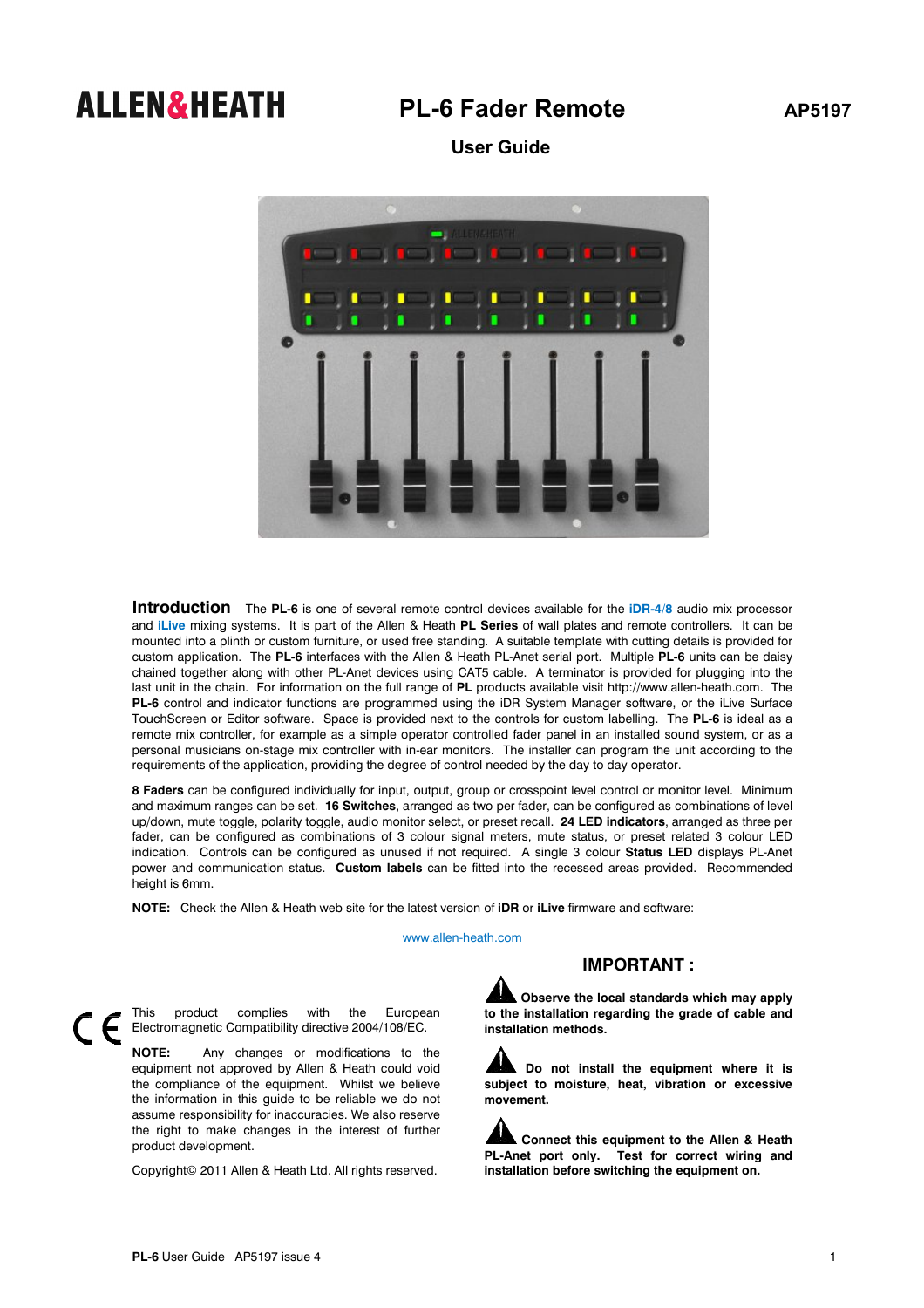## **ALLEN&HEATH** PL-6 Fader Remote AP5197

 **User Guide** 



**Introduction** The **PL-6** is one of several remote control devices available for the **iDR-4**/**8** audio mix processor and **iLive** mixing systems. It is part of the Allen & Heath **PL Series** of wall plates and remote controllers. It can be mounted into a plinth or custom furniture, or used free standing. A suitable template with cutting details is provided for custom application. The **PL-6** interfaces with the Allen & Heath PL-Anet serial port. Multiple **PL-6** units can be daisy chained together along with other PL-Anet devices using CAT5 cable. A terminator is provided for plugging into the last unit in the chain. For information on the full range of **PL** products available visit http://www.allen-heath.com. The **PL-6** control and indicator functions are programmed using the iDR System Manager software, or the iLive Surface TouchScreen or Editor software. Space is provided next to the controls for custom labelling. The **PL-6** is ideal as a remote mix controller, for example as a simple operator controlled fader panel in an installed sound system, or as a personal musicians on-stage mix controller with in-ear monitors. The installer can program the unit according to the requirements of the application, providing the degree of control needed by the day to day operator.

**8 Faders** can be configured individually for input, output, group or crosspoint level control or monitor level. Minimum and maximum ranges can be set. **16 Switches**, arranged as two per fader, can be configured as combinations of level up/down, mute toggle, polarity toggle, audio monitor select, or preset recall. **24 LED indicators**, arranged as three per fader, can be configured as combinations of 3 colour signal meters, mute status, or preset related 3 colour LED indication. Controls can be configured as unused if not required. A single 3 colour **Status LED** displays PL-Anet power and communication status. **Custom labels** can be fitted into the recessed areas provided. Recommended height is 6mm.

**NOTE:** Check the Allen & Heath web site for the latest version of **iDR** or **iLive** firmware and software:

www.allen-heath.com

## **IMPORTANT :**

**Observe the local standards which may apply to the installation regarding the grade of cable and installation methods.** 

**Do not install the equipment where it is subject to moisture, heat, vibration or excessive movement.** 

**Connect this equipment to the Allen & Heath PL-Anet port only. Test for correct wiring and installation before switching the equipment on.** 



This product complies with the European Electromagnetic Compatibility directive 2004/108/EC.

**NOTE:** Any changes or modifications to the equipment not approved by Allen & Heath could void the compliance of the equipment. Whilst we believe the information in this guide to be reliable we do not assume responsibility for inaccuracies. We also reserve the right to make changes in the interest of further product development.

Copyright© 2011 Allen & Heath Ltd. All rights reserved.